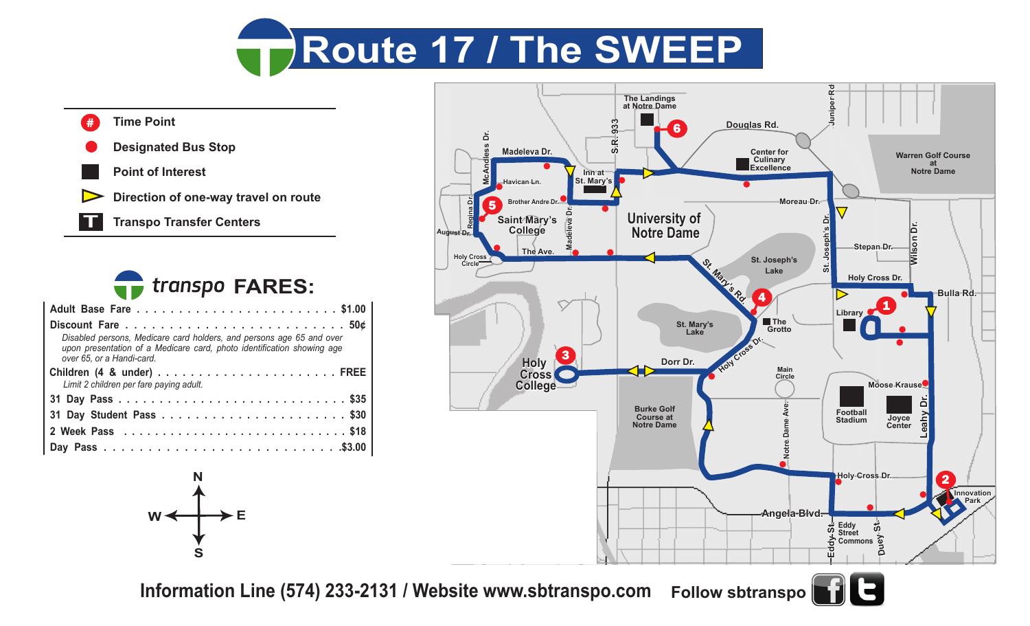







**Information Line (574) 233-2131 / Website www.sbtranspo.com Follow sbtranspo**